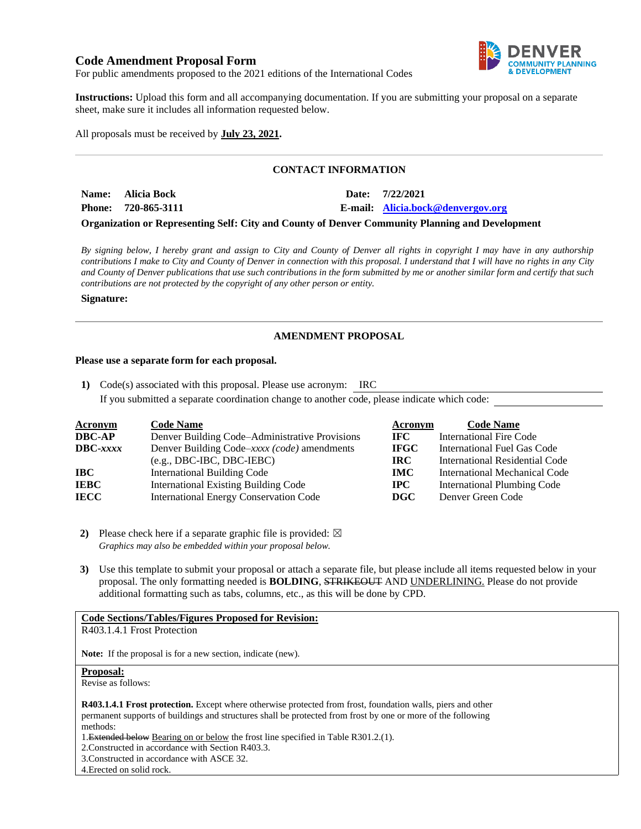# **Code Amendment Proposal Form**



For public amendments proposed to the 2021 editions of the International Codes

**Instructions:** Upload this form and all accompanying documentation. If you are submitting your proposal on a separate sheet, make sure it includes all information requested below.

All proposals must be received by **July 23, 2021.**

## **CONTACT INFORMATION**

| Name: Alicia Bock   |  | Date: 7/22/2021                   |
|---------------------|--|-----------------------------------|
| Phone: 720-865-3111 |  | E-mail: Alicia.bock@denvergov.org |
|                     |  |                                   |

**Organization or Representing Self: City and County of Denver Community Planning and Development**

*By signing below, I hereby grant and assign to City and County of Denver all rights in copyright I may have in any authorship contributions I make to City and County of Denver in connection with this proposal. I understand that I will have no rights in any City and County of Denver publications that use such contributions in the form submitted by me or another similar form and certify that such contributions are not protected by the copyright of any other person or entity.* 

#### **Signature:**

## **AMENDMENT PROPOSAL**

#### **Please use a separate form for each proposal.**

**1)** Code(s) associated with this proposal. Please use acronym: IRC If you submitted a separate coordination change to another code, please indicate which code:

| <b>Acronym</b>    | <b>Code Name</b>                               | Acronym      | <b>Code Name</b>                      |
|-------------------|------------------------------------------------|--------------|---------------------------------------|
| <b>DBC-AP</b>     | Denver Building Code–Administrative Provisions | IFC.         | <b>International Fire Code</b>        |
| $\text{DBC}-xxxx$ | Denver Building Code–xxxx (code) amendments    | <b>IFGC</b>  | International Fuel Gas Code           |
|                   | $(e.g., DBC-IBC, DBC-IEBC)$                    | IRC.         | <b>International Residential Code</b> |
| IBC               | International Building Code                    | <b>IMC</b>   | <b>International Mechanical Code</b>  |
| <b>IEBC</b>       | <b>International Existing Building Code</b>    | $_{\rm IPC}$ | <b>International Plumbing Code</b>    |
| <b>IECC</b>       | <b>International Energy Conservation Code</b>  | DGC          | Denver Green Code                     |

**2)** Please check here if a separate graphic file is provided:  $\boxtimes$ *Graphics may also be embedded within your proposal below.*

**3)** Use this template to submit your proposal or attach a separate file, but please include all items requested below in your proposal. The only formatting needed is **BOLDING**, STRIKEOUT AND UNDERLINING. Please do not provide additional formatting such as tabs, columns, etc., as this will be done by CPD.

### **Code Sections/Tables/Figures Proposed for Revision:**

R403.1.4.1 Frost Protection

**Note:** If the proposal is for a new section, indicate (new).

## **Proposal:**

Revise as follows:

**R403.1.4.1 Frost protection.** Except where otherwise protected from frost, foundation walls, piers and other permanent supports of buildings and structures shall be protected from frost by one or more of the following methods:

1.Extended below Bearing on or below the frost line specified in Table R301.2.(1).

2.Constructed in accordance with Section R403.3.

3.Constructed in accordance with ASCE 32.

4.Erected on solid rock.